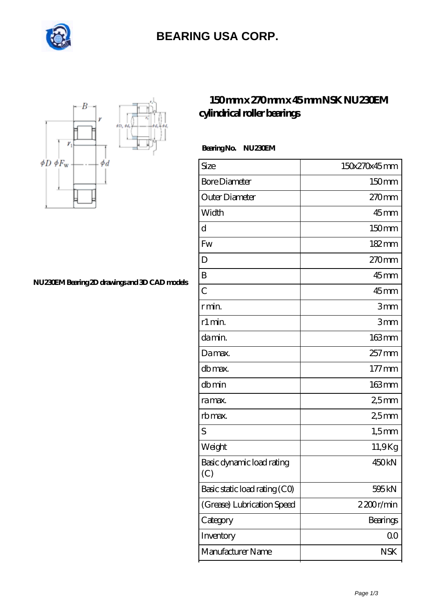

# **[BEARING USA CORP.](https://internationalbonsaiforum.com)**



#### **[NU230EM Bearing 2D drawings and 3D CAD models](https://internationalbonsaiforum.com/pic-65127489.html)**

### **[150 mm x 270 mm x 45 mm NSK NU230EM](https://internationalbonsaiforum.com/nsk-nu230em-bearing/) [cylindrical roller bearings](https://internationalbonsaiforum.com/nsk-nu230em-bearing/)**

 **Bearing No. NU230EM**

| Size                             | 150x270x45mm      |
|----------------------------------|-------------------|
| <b>Bore Diameter</b>             | 150mm             |
| Outer Diameter                   | 270 <sub>mm</sub> |
| Width                            | $45$ mm           |
| d                                | 150mm             |
| <b>Fw</b>                        | 182mm             |
| D                                | $270$ mm          |
| B                                | $45$ mm           |
| $\overline{C}$                   | $45$ mm           |
| r min.                           | 3mm               |
| r1 min.                          | 3mm               |
| da min.                          | 163mm             |
| Damax.                           | $257$ mm          |
| db max.                          | $177$ mm          |
| dbmin                            | 163mm             |
| ra max.                          | 25mm              |
| rb max.                          | 25mm              |
| S                                | $1,5$ mm          |
| Weight                           | 11,9Kg            |
| Basic dynamic load rating<br>(C) | 450kN             |
| Basic static load rating (CO)    | 595 kN            |
| (Grease) Lubrication Speed       | 2200r/min         |
| Category                         | Bearings          |
| Inventory                        | 00                |
| Manufacturer Name                | <b>NSK</b>        |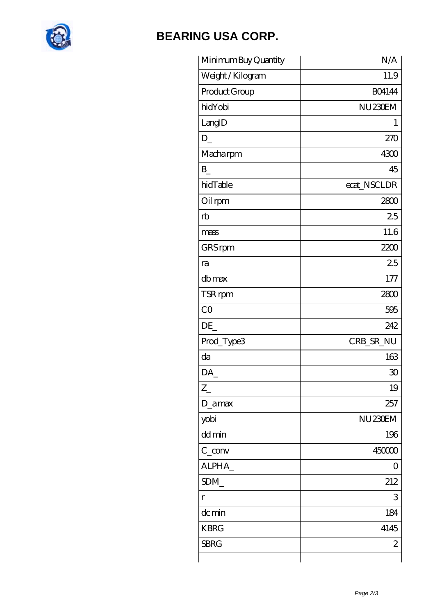

# **[BEARING USA CORP.](https://internationalbonsaiforum.com)**

| Minimum Buy Quantity | N/A                  |
|----------------------|----------------------|
| Weight / Kilogram    | 11.9                 |
| Product Group        | <b>BO4144</b>        |
| hidYobi              | NU <sub>230</sub> EM |
| LangID               | 1                    |
| $D_{-}$              | 270                  |
| Macharpm             | 4300                 |
| B                    | 45                   |
| hidTable             | ecat_NSCLDR          |
| Oil rpm              | 2800                 |
| rb                   | 25                   |
| mass                 | 11.6                 |
| GRS rpm              | 2200                 |
| ra                   | 25                   |
| db max               | 177                  |
| TSR rpm              | 2800                 |
| CO                   | 595                  |
| DE                   | 242                  |
| Prod_Type3           | CRB_SR_NU            |
| da                   | 163                  |
| DA                   | 30                   |
| $Z_{-}$              | 19                   |
| D_amax               | 257                  |
| yobi                 | NU <sub>230</sub> EM |
| dd min               | 196                  |
| $C_{conv}$           | 450000               |
| ALPHA_               | $\left( \right)$     |
| SDM_                 | 212                  |
| r                    | 3                    |
| dc min               | 184                  |
| <b>KBRG</b>          | 4145                 |
| <b>SBRG</b>          | $\mathbf{z}$         |
|                      |                      |